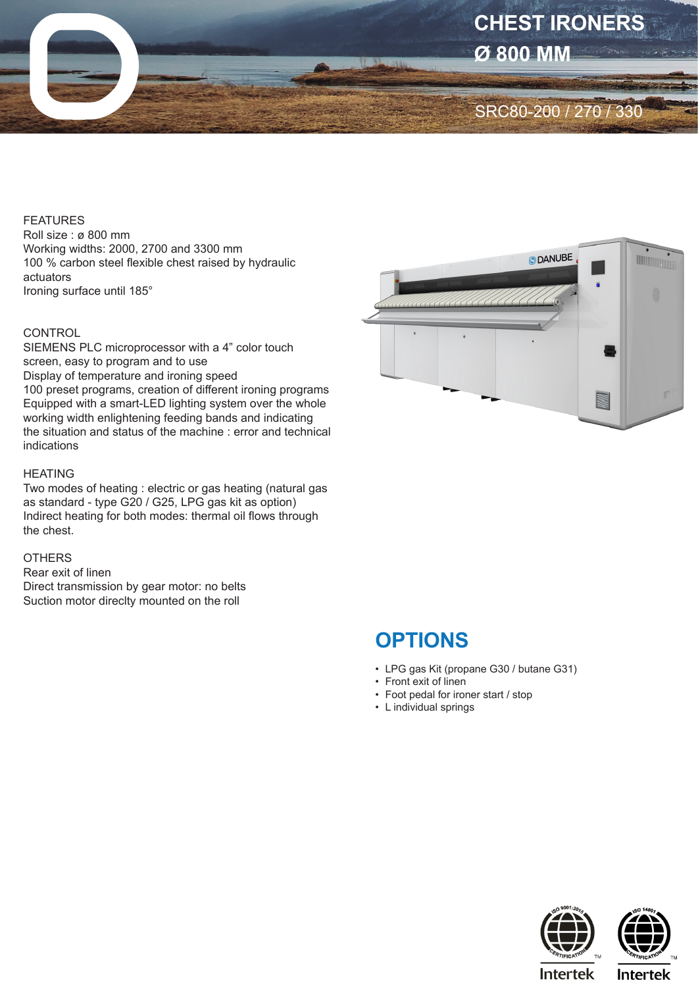

#### FEATURES

Roll size : ø 800 mm Working widths: 2000, 2700 and 3300 mm 100 % carbon steel flexible chest raised by hydraulic actuators Ironing surface until 185°

### **CONTROL**

SIEMENS PLC microprocessor with a 4" color touch screen, easy to program and to use Display of temperature and ironing speed 100 preset programs, creation of different ironing programs Equipped with a smart-LED lighting system over the whole working width enlightening feeding bands and indicating the situation and status of the machine : error and technical indications

#### HEATING

Two modes of heating : electric or gas heating (natural gas as standard - type G20 / G25, LPG gas kit as option) Indirect heating for both modes: thermal oil flows through the chest.

## **OTHERS**

Rear exit of linen Direct transmission by gear motor: no belts Suction motor direclty mounted on the roll



# **OPTIONS**

- LPG gas Kit (propane G30 / butane G31)
- Front exit of linen
- Foot pedal for ironer start / stop
- L individual springs